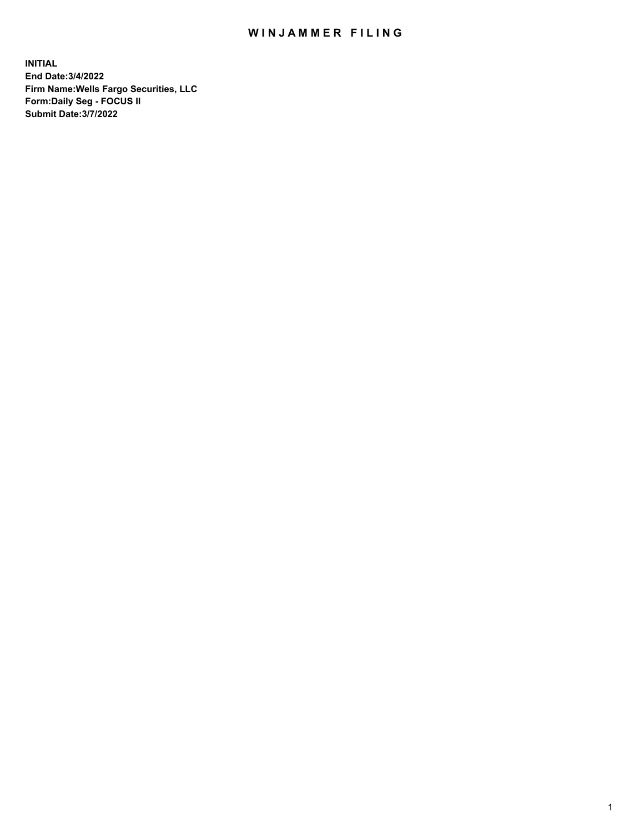## WIN JAMMER FILING

**INITIAL End Date:3/4/2022 Firm Name:Wells Fargo Securities, LLC Form:Daily Seg - FOCUS II Submit Date:3/7/2022**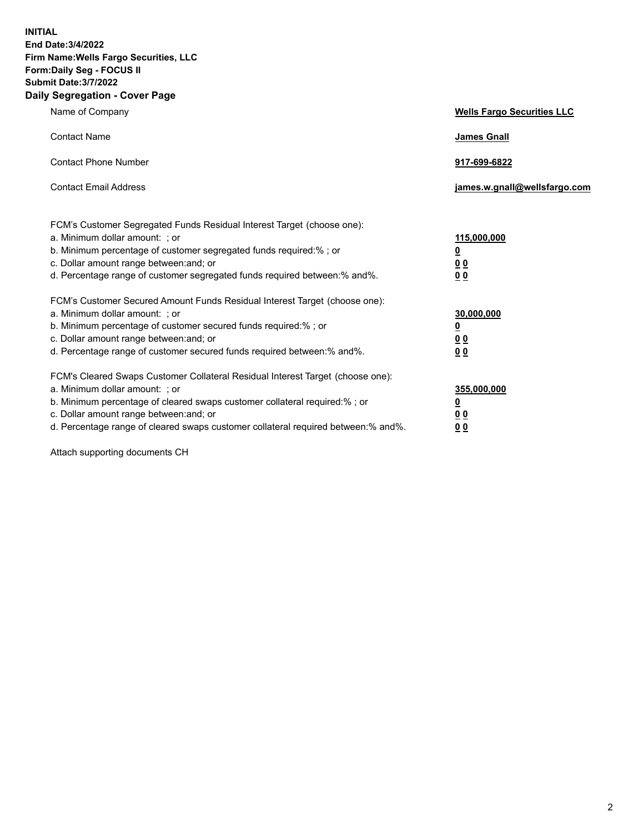**INITIAL End Date:3/4/2022 Firm Name:Wells Fargo Securities, LLC Form:Daily Seg - FOCUS II Submit Date:3/7/2022 Daily Segregation - Cover Page**

| Name of Company                                                                                                       | <b>Wells Fargo Securities LLC</b> |
|-----------------------------------------------------------------------------------------------------------------------|-----------------------------------|
| <b>Contact Name</b>                                                                                                   | <b>James Gnall</b>                |
|                                                                                                                       |                                   |
| <b>Contact Phone Number</b>                                                                                           | 917-699-6822                      |
|                                                                                                                       |                                   |
| <b>Contact Email Address</b>                                                                                          | james.w.gnall@wellsfargo.com      |
|                                                                                                                       |                                   |
| FCM's Customer Segregated Funds Residual Interest Target (choose one):                                                |                                   |
| a. Minimum dollar amount: ; or                                                                                        | 115,000,000                       |
| b. Minimum percentage of customer segregated funds required:% ; or                                                    | <u>0</u>                          |
| c. Dollar amount range between: and; or                                                                               | 00                                |
| d. Percentage range of customer segregated funds required between:% and%.                                             | 00                                |
| FCM's Customer Secured Amount Funds Residual Interest Target (choose one):                                            |                                   |
| a. Minimum dollar amount: ; or                                                                                        | 30,000,000                        |
| b. Minimum percentage of customer secured funds required:%; or                                                        | <u>0</u>                          |
| c. Dollar amount range between: and; or                                                                               | 00                                |
| d. Percentage range of customer secured funds required between: % and %.                                              | 0 <sub>0</sub>                    |
|                                                                                                                       |                                   |
| FCM's Cleared Swaps Customer Collateral Residual Interest Target (choose one):                                        |                                   |
| a. Minimum dollar amount: ; or                                                                                        | 355,000,000                       |
| b. Minimum percentage of cleared swaps customer collateral required:% ; or<br>c. Dollar amount range between: and; or | <u>0</u>                          |
| d. Percentage range of cleared swaps customer collateral required between:% and%.                                     | <u>00</u><br>00                   |
|                                                                                                                       |                                   |

Attach supporting documents CH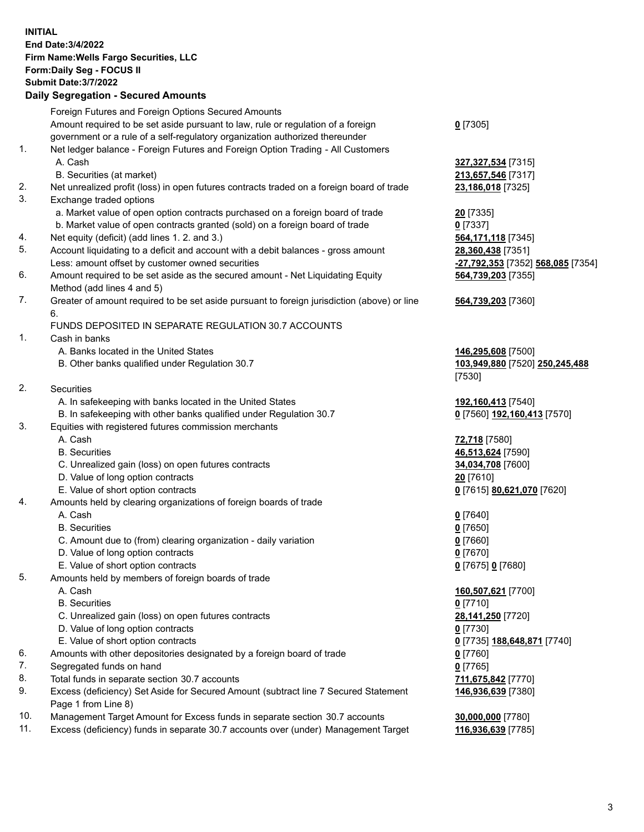**INITIAL End Date:3/4/2022 Firm Name:Wells Fargo Securities, LLC Form:Daily Seg - FOCUS II Submit Date:3/7/2022 Daily Segregation - Secured Amounts** Foreign Futures and Foreign Options Secured Amounts Amount required to be set aside pursuant to law, rule or regulation of a foreign government or a rule of a self-regulatory organization authorized thereunder **0** [7305] 1. Net ledger balance - Foreign Futures and Foreign Option Trading - All Customers A. Cash **327,327,534** [7315] B. Securities (at market) **213,657,546** [7317] 2. Net unrealized profit (loss) in open futures contracts traded on a foreign board of trade **23,186,018** [7325] 3. Exchange traded options a. Market value of open option contracts purchased on a foreign board of trade **20** [7335] b. Market value of open contracts granted (sold) on a foreign board of trade **0** [7337] 4. Net equity (deficit) (add lines 1. 2. and 3.) **564,171,118** [7345] 5. Account liquidating to a deficit and account with a debit balances - gross amount **28,360,438** [7351] Less: amount offset by customer owned securities **-27,792,353** [7352] **568,085** [7354] 6. Amount required to be set aside as the secured amount - Net Liquidating Equity Method (add lines 4 and 5) **564,739,203** [7355] 7. Greater of amount required to be set aside pursuant to foreign jurisdiction (above) or line 6. **564,739,203** [7360] FUNDS DEPOSITED IN SEPARATE REGULATION 30.7 ACCOUNTS 1. Cash in banks A. Banks located in the United States **146,295,608** [7500] B. Other banks qualified under Regulation 30.7 **103,949,880** [7520] **250,245,488** [7530] 2. Securities A. In safekeeping with banks located in the United States **192,160,413** [7540] B. In safekeeping with other banks qualified under Regulation 30.7 **0** [7560] **192,160,413** [7570] 3. Equities with registered futures commission merchants A. Cash **72,718** [7580] B. Securities **46,513,624** [7590] C. Unrealized gain (loss) on open futures contracts **34,034,708** [7600] D. Value of long option contracts **20** [7610] E. Value of short option contracts **0** [7615] **80,621,070** [7620] 4. Amounts held by clearing organizations of foreign boards of trade A. Cash **0** [7640] B. Securities **0** [7650] C. Amount due to (from) clearing organization - daily variation **0** [7660] D. Value of long option contracts **0** [7670] E. Value of short option contracts **0** [7675] **0** [7680] 5. Amounts held by members of foreign boards of trade A. Cash **160,507,621** [7700] B. Securities **0** [7710] C. Unrealized gain (loss) on open futures contracts **28,141,250** [7720] D. Value of long option contracts **0** [7730] E. Value of short option contracts **0** [7735] **188,648,871** [7740] 6. Amounts with other depositories designated by a foreign board of trade **0** [7760] 7. Segregated funds on hand **0** [7765] 8. Total funds in separate section 30.7 accounts **711,675,842** [7770] 9. Excess (deficiency) Set Aside for Secured Amount (subtract line 7 Secured Statement Page 1 from Line 8) **146,936,639** [7380] 10. Management Target Amount for Excess funds in separate section 30.7 accounts **30,000,000** [7780]

11. Excess (deficiency) funds in separate 30.7 accounts over (under) Management Target **116,936,639** [7785]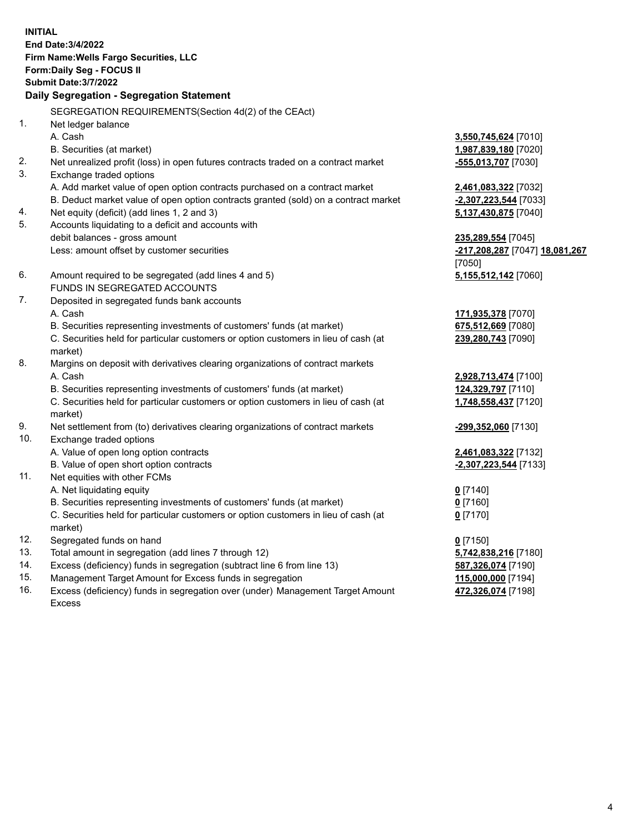**INITIAL End Date:3/4/2022 Firm Name:Wells Fargo Securities, LLC Form:Daily Seg - FOCUS II Submit Date:3/7/2022 Daily Segregation - Segregation Statement** SEGREGATION REQUIREMENTS(Section 4d(2) of the CEAct) 1. Net ledger balance A. Cash **3,550,745,624** [7010] B. Securities (at market) **1,987,839,180** [7020] 2. Net unrealized profit (loss) in open futures contracts traded on a contract market **-555,013,707** [7030] 3. Exchange traded options A. Add market value of open option contracts purchased on a contract market **2,461,083,322** [7032] B. Deduct market value of open option contracts granted (sold) on a contract market **-2,307,223,544** [7033] 4. Net equity (deficit) (add lines 1, 2 and 3) **5,137,430,875** [7040] 5. Accounts liquidating to a deficit and accounts with debit balances - gross amount **235,289,554** [7045] Less: amount offset by customer securities **-217,208,287** [7047] **18,081,267** [7050] 6. Amount required to be segregated (add lines 4 and 5) **5,155,512,142** [7060] FUNDS IN SEGREGATED ACCOUNTS 7. Deposited in segregated funds bank accounts A. Cash **171,935,378** [7070] B. Securities representing investments of customers' funds (at market) **675,512,669** [7080] C. Securities held for particular customers or option customers in lieu of cash (at market) **239,280,743** [7090] 8. Margins on deposit with derivatives clearing organizations of contract markets A. Cash **2,928,713,474** [7100] B. Securities representing investments of customers' funds (at market) **124,329,797** [7110] C. Securities held for particular customers or option customers in lieu of cash (at market) **1,748,558,437** [7120] 9. Net settlement from (to) derivatives clearing organizations of contract markets **-299,352,060** [7130] 10. Exchange traded options A. Value of open long option contracts **2,461,083,322** [7132] B. Value of open short option contracts **-2,307,223,544** [7133] 11. Net equities with other FCMs A. Net liquidating equity **0** [7140] B. Securities representing investments of customers' funds (at market) **0** [7160] C. Securities held for particular customers or option customers in lieu of cash (at market) **0** [7170] 12. Segregated funds on hand **0** [7150] 13. Total amount in segregation (add lines 7 through 12) **5,742,838,216** [7180] 14. Excess (deficiency) funds in segregation (subtract line 6 from line 13) **587,326,074** [7190] 15. Management Target Amount for Excess funds in segregation **115,000,000** [7194] 16. Excess (deficiency) funds in segregation over (under) Management Target Amount **472,326,074** [7198]

Excess